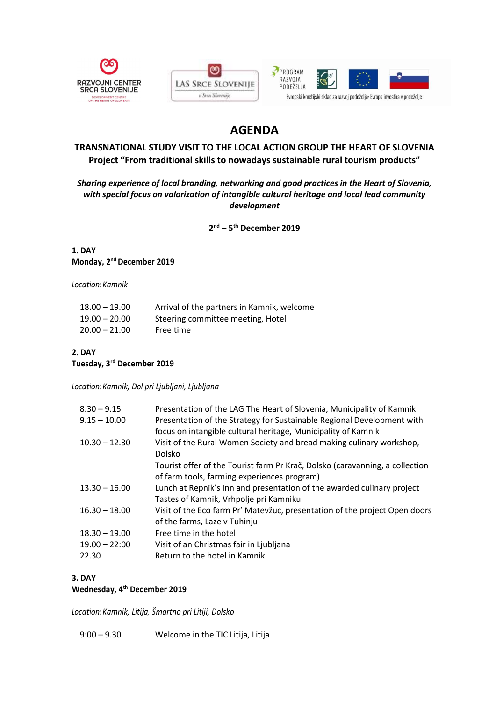







## AGENDA

### TRANSNATIONAL STUDY VISIT TO THE LOCAL ACTION GROUP THE HEART OF SLOVENIA Project "From traditional skills to nowadays sustainable rural tourism products"

Sharing experience of local branding, networking and good practices in the Heart of Slovenia, with special focus on valorization of intangible cultural heritage and local lead community development **EXAMPLE SECAL SECTED MANUSOR SECTED VALUE SECTED AND SECTED SECTED SECTED SECTED SECTED AND SOLUTION SECTED SECTED AND SOLUTION SECTED SECTED SERVICE SURVEYS SECTED SERVICE STRAND SECTED PROJECT "From traditional skills TRANSNATIONAL STUDY VISIT TO THE LOCAL ACTION GROUP THE**<br>
Project "From traditional skills to nowadays sustainable rural to<br>
Sharing experience of local branding, networking and good practices in t<br>
with special focus on

2 nd – 5th December 2019

# Monday, 2nd December 2019

Location: Kamnik

| $18.00 - 19.00$ | Arrival of the partners in Kamnik, welcome |
|-----------------|--------------------------------------------|
| $19.00 - 20.00$ | Steering committee meeting, Hotel          |
| $20.00 - 21.00$ | Free time                                  |

## Tuesday, 3rd December 2019

|                                          | Location: Kamnik, Dol pri Ljubljani, Ljubljana                                                                                          |
|------------------------------------------|-----------------------------------------------------------------------------------------------------------------------------------------|
| $8.30 - 9.15$                            | Presentation of the LAG The Heart of Slovenia, Municipality of Kamnik                                                                   |
| $9.15 - 10.00$                           | Presentation of the Strategy for Sustainable Regional Development with<br>focus on intangible cultural heritage, Municipality of Kamnik |
| $10.30 - 12.30$                          | Visit of the Rural Women Society and bread making culinary workshop,<br>Dolsko                                                          |
|                                          | Tourist offer of the Tourist farm Pr Krač, Dolsko (caravanning, a collection<br>of farm tools, farming experiences program)             |
| $13.30 - 16.00$                          | Lunch at Repnik's Inn and presentation of the awarded culinary project<br>Tastes of Kamnik, Vrhpolje pri Kamniku                        |
| $16.30 - 18.00$                          | Visit of the Eco farm Pr' Matevžuc, presentation of the project Open doors<br>of the farms, Laze v Tuhinju                              |
| $18.30 - 19.00$                          | Free time in the hotel                                                                                                                  |
| $19.00 - 22:00$                          | Visit of an Christmas fair in Ljubljana                                                                                                 |
| 22.30                                    | Return to the hotel in Kamnik                                                                                                           |
| 3. DAY                                   |                                                                                                                                         |
| Wednesday, 4 <sup>th</sup> December 2019 |                                                                                                                                         |
|                                          | Location: Kamnik, Litija, Šmartno pri Litiji, Dolsko                                                                                    |
| $9:00 - 9.30$                            | Welcome in the TIC Litija, Litija                                                                                                       |

### Wednesday, 4<sup>th</sup> December 2019